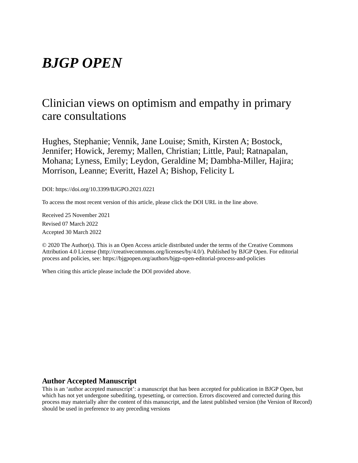# *BJGP OPEN*

# Clinician views on optimism and empathy in primary care consultations

Hughes, Stephanie; Vennik, Jane Louise; Smith, Kirsten A; Bostock, Jennifer; Howick, Jeremy; Mallen, Christian; Little, Paul; Ratnapalan, Mohana; Lyness, Emily; Leydon, Geraldine M; Dambha-Miller, Hajira; Morrison, Leanne; Everitt, Hazel A; Bishop, Felicity L

DOI: https://doi.org/10.3399/BJGPO.2021.0221

To access the most recent version of this article, please click the DOI URL in the line above.

Received 25 November 2021 Revised 07 March 2022 Accepted 30 March 2022

© 2020 The Author(s). This is an Open Access article distributed under the terms of the Creative Commons Attribution 4.0 License (http://creativecommons.org/licenses/by/4.0/). Published by BJGP Open. For editorial process and policies, see: https://bjgpopen.org/authors/bjgp-open-editorial-process-and-policies

When citing this article please include the DOI provided above.

#### **Author Accepted Manuscript**

This is an 'author accepted manuscript': a manuscript that has been accepted for publication in BJGP Open, but which has not yet undergone subediting, typesetting, or correction. Errors discovered and corrected during this process may materially alter the content of this manuscript, and the latest published version (the Version of Record) should be used in preference to any preceding versions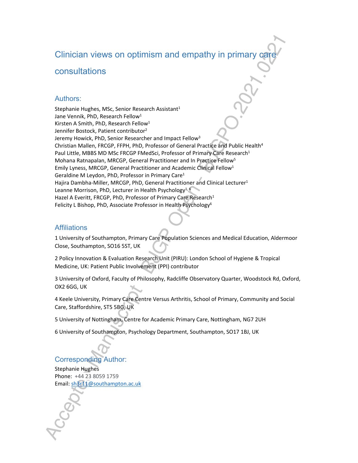# Clinician views on optimism and empathy in primary care

# consultations

#### Authors:

Stephanie Hughes, MSc, Senior Research Assistant<sup>1</sup> Jane Vennik, PhD, Research Fellow<sup>1</sup> Kirsten A Smith, PhD, Research Fellow<sup>1</sup> Jennifer Bostock, Patient contributor<sup>2</sup> Jeremy Howick, PhD, Senior Researcher and Impact Fellow<sup>3</sup> Christian Mallen, FRCGP, FFPH, PhD, Professor of General Practice and Public Health<sup>4</sup> Paul Little, MBBS MD MSc FRCGP FMedSci, Professor of Primary Care Research<sup>1</sup> Mohana Ratnapalan, MRCGP, General Practitioner and In Practice Fellow<sup>5</sup> Emily Lyness, MRCGP, General Practitioner and Academic Clinical Fellow<sup>1</sup> Geraldine M Leydon, PhD, Professor in Primary Care<sup>1</sup> Hajira Dambha-Miller, MRCGP, PhD, General Practitioner and Clinical Lecturer<sup>1</sup> Leanne Morrison, PhD, Lecturer in Health Psychology<sup>1, 6</sup> Hazel A Everitt, FRCGP, PhD, Professor of Primary Care Research<sup>1</sup> Felicity L Bishop, PhD, Associate Professor in Health Psychology<sup>6</sup>

# **Affiliations**

1 University of Southampton, Primary Care Population Sciences and Medical Education, Aldermoor Close, Southampton, SO16 5ST, UK

2 Policy Innovation & Evaluation Research Unit (PIRU): London School of Hygiene & Tropical Medicine, UK: Patient Public Involvement (PPI) contributor

3 University of Oxford, Faculty of Philosophy, Radcliffe Observatory Quarter, Woodstock Rd, Oxford, OX2 6GG, UK

4 Keele University, Primary Care Centre Versus Arthritis, School of Primary, Community and Social Care, Staffordshire, ST5 5BG, UK

5 University of Nottingham, Centre for Academic Primary Care, Nottingham, NG7 2UH

6 University of Southampton, Psychology Department, Southampton, SO17 1BJ, UK

# Corresponding Author:

Stephanie Hughes Phone: +44 23 8059 1759 Email: sh3r11@southampton.ac.uk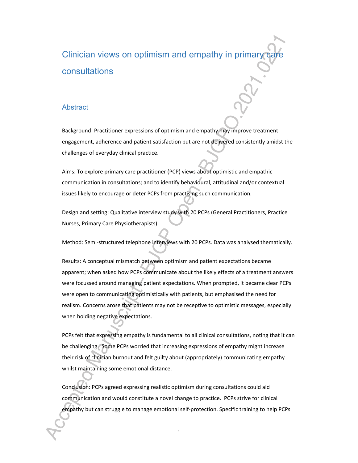# Clinician views on optimism and empathy in primary care consultations

# **Abstract**

Background: Practitioner expressions of optimism and empathy may improve treatment engagement, adherence and patient satisfaction but are not delivered consistently amidst the challenges of everyday clinical practice.

Aims: To explore primary care practitioner (PCP) views about optimistic and empathic communication in consultations; and to identify behavioural, attitudinal and/or contextual issues likely to encourage or deter PCPs from practising such communication.

Design and setting: Qualitative interview study with 20 PCPs (General Practitioners, Practice Nurses, Primary Care Physiotherapists).

Method: Semi-structured telephone interviews with 20 PCPs. Data was analysed thematically.

Results: A conceptual mismatch between optimism and patient expectations became apparent; when asked how PCPs communicate about the likely effects of a treatment answers were focussed around managing patient expectations. When prompted, it became clear PCPs were open to communicating optimistically with patients, but emphasised the need for realism. Concerns arose that patients may not be receptive to optimistic messages, especially when holding negative expectations.

PCPs felt that expressing empathy is fundamental to all clinical consultations, noting that it can be challenging. Some PCPs worried that increasing expressions of empathy might increase their risk of clinician burnout and felt guilty about (appropriately) communicating empathy whilst maintaining some emotional distance.

Conclusion: PCPs agreed expressing realistic optimism during consultations could aid communication and would constitute a novel change to practice. PCPs strive for clinical empathy but can struggle to manage emotional self-protection. Specific training to help PCPs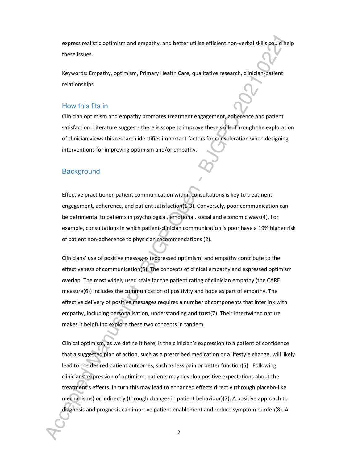express realistic optimism and empathy, and better utilise efficient non-verbal skills could help these issues.

Keywords: Empathy, optimism, Primary Health Care, qualitative research, clinician-patient relationships

### How this fits in

Clinician optimism and empathy promotes treatment engagement, adherence and patient satisfaction. Literature suggests there is scope to improve these skills. Through the exploration of clinician views this research identifies important factors for consideration when designing interventions for improving optimism and/or empathy.

#### **Background**

Effective practitioner-patient communication within consultations is key to treatment engagement, adherence, and patient satisfaction $(1-3)$ . Conversely, poor communication can be detrimental to patients in psychological, emotional, social and economic ways(4). For example, consultations in which patient-clinician communication is poor have a 19% higher risk of patient non-adherence to physician recommendations (2).

Clinicians' use of positive messages (expressed optimism) and empathy contribute to the effectiveness of communication(5). The concepts of clinical empathy and expressed optimism overlap. The most widely used scale for the patient rating of clinician empathy (the CARE measure(6)) includes the communication of positivity and hope as part of empathy. The effective delivery of positive messages requires a number of components that interlink with empathy, including personalisation, understanding and trust(7). Their intertwined nature makes it helpful to explore these two concepts in tandem.

Clinical optimism, as we define it here, is the clinician's expression to a patient of confidence that a suggested plan of action, such as a prescribed medication or a lifestyle change, will likely lead to the desired patient outcomes, such as less pain or better function(5). Following clinicians' expression of optimism, patients may develop positive expectations about the treatment's effects. In turn this may lead to enhanced effects directly (through placebo-like mechanisms) or indirectly (through changes in patient behaviour)(7). A positive approach to diagnosis and prognosis can improve patient enablement and reduce symptom burden(8). A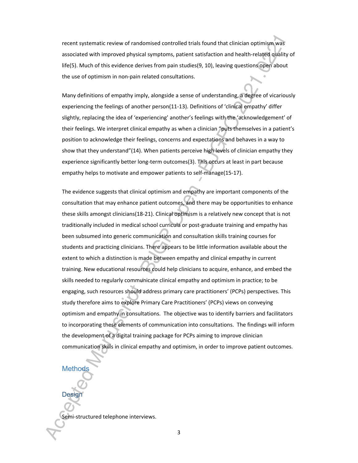recent systematic review of randomised controlled trials found that clinician optimism was associated with improved physical symptoms, patient satisfaction and health-related quality of life(5). Much of this evidence derives from pain studies(9, 10), leaving questions open about the use of optimism in non-pain related consultations.

Many definitions of empathy imply, alongside a sense of understanding, a degree of vicariously experiencing the feelings of another person(11-13). Definitions of 'clinical empathy' differ slightly, replacing the idea of 'experiencing' another's feelings with the 'acknowledgement' of their feelings. We interpret clinical empathy as when a clinician "puts themselves in a patient's position to acknowledge their feelings, concerns and expectations and behaves in a way to show that they understand"(14). When patients perceive high levels of clinician empathy they experience significantly better long-term outcomes(3). This occurs at least in part because empathy helps to motivate and empower patients to self-manage(15-17).

The evidence suggests that clinical optimism and empathy are important components of the consultation that may enhance patient outcomes, and there may be opportunities to enhance these skills amongst clinicians(18-21). Clinical optimism is a relatively new concept that is not traditionally included in medical school curricula or post-graduate training and empathy has been subsumed into generic communication and consultation skills training courses for students and practicing clinicians. There appears to be little information available about the extent to which a distinction is made between empathy and clinical empathy in current training. New educational resources could help clinicians to acquire, enhance, and embed the skills needed to regularly communicate clinical empathy and optimism in practice; to be engaging, such resources should address primary care practitioners' (PCPs) perspectives. This study therefore aims to explore Primary Care Practitioners' (PCPs) views on conveying optimism and empathy in consultations. The objective was to identify barriers and facilitators to incorporating these elements of communication into consultations. The findings will inform the development of a digital training package for PCPs aiming to improve clinician communication skills in clinical empathy and optimism, in order to improve patient outcomes.

# **Methods**

Desig

Semi-structured telephone interviews.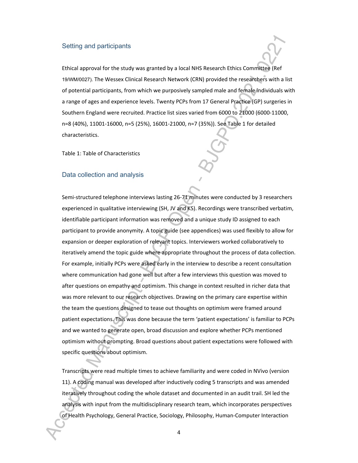#### Setting and participants

Ethical approval for the study was granted by a local NHS Research Ethics Committee (Ref 19/WM/0027). The Wessex Clinical Research Network (CRN) provided the researchers with a list of potential participants, from which we purposively sampled male and female individuals with a range of ages and experience levels. Twenty PCPs from 17 General Practice (GP) surgeries in Southern England were recruited. Practice list sizes varied from 6000 to 21000 (6000-11000, n=8 (40%), 11001-16000, n=5 (25%), 16001-21000, n=7 (35%)). See Table 1 for detailed characteristics.

Table 1: Table of Characteristics

#### Data collection and analysis

Semi-structured telephone interviews lasting 26-71 minutes were conducted by 3 researchers experienced in qualitative interviewing (SH, JV and KS). Recordings were transcribed verbatim, identifiable participant information was removed and a unique study ID assigned to each participant to provide anonymity. A topic guide (see appendices) was used flexibly to allow for expansion or deeper exploration of relevant topics. Interviewers worked collaboratively to iteratively amend the topic guide where appropriate throughout the process of data collection. For example, initially PCPs were asked early in the interview to describe a recent consultation where communication had gone well but after a few interviews this question was moved to after questions on empathy and optimism. This change in context resulted in richer data that was more relevant to our research objectives. Drawing on the primary care expertise within the team the questions designed to tease out thoughts on optimism were framed around patient expectations. This was done because the term 'patient expectations' is familiar to PCPs and we wanted to generate open, broad discussion and explore whether PCPs mentioned optimism without prompting. Broad questions about patient expectations were followed with specific questions about optimism.

Transcripts were read multiple times to achieve familiarity and were coded in NVivo (version 11). A coding manual was developed after inductively coding 5 transcripts and was amended iteratively throughout coding the whole dataset and documented in an audit trail. SH led the analysis with input from the multidisciplinary research team, which incorporates perspectives of Health Psychology, General Practice, Sociology, Philosophy, Human-Computer Interaction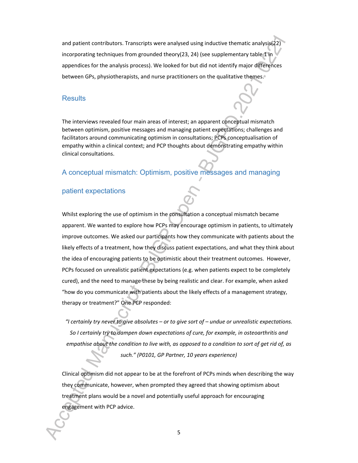and patient contributors. Transcripts were analysed using inductive thematic analysis(22) incorporating techniques from grounded theory(23, 24) (see supplementary table 1 in appendices for the analysis process). We looked for but did not identify major differences between GPs, physiotherapists, and nurse practitioners on the qualitative themes.

#### **Results**

The interviews revealed four main areas of interest; an apparent conceptual mismatch between optimism, positive messages and managing patient expectations; challenges and facilitators around communicating optimism in consultations; PCPs conceptualisation of empathy within a clinical context; and PCP thoughts about demonstrating empathy within clinical consultations.

# A conceptual mismatch: Optimism, positive messages and managing

#### patient expectations

Whilst exploring the use of optimism in the consultation a conceptual mismatch became apparent. We wanted to explore how PCPs may encourage optimism in patients, to ultimately improve outcomes. We asked our participants how they communicate with patients about the likely effects of a treatment, how they discuss patient expectations, and what they think about the idea of encouraging patients to be optimistic about their treatment outcomes. However, PCPs focused on unrealistic patient expectations (e.g. when patients expect to be completely cured), and the need to manage these by being realistic and clear. For example, when asked "how do you communicate with patients about the likely effects of a management strategy, therapy or treatment?" One PCP responded:

*"I certainly try never to give absolutes – or to give sort of – undue or unrealistic expectations. So I certainly try to dampen down expectations of cure, for example, in osteoarthritis and empathise about the condition to live with, as opposed to a condition to sort of get rid of, as such." (P0101, GP Partner, 10 years experience)*

Clinical optimism did not appear to be at the forefront of PCPs minds when describing the way they communicate, however, when prompted they agreed that showing optimism about treatment plans would be a novel and potentially useful approach for encouraging engagement with PCP advice.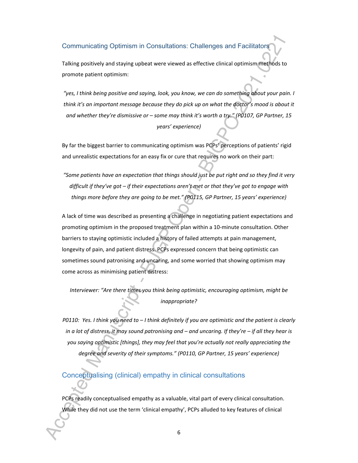Communicating Optimism in Consultations: Challenges and Facilitators

Talking positively and staying upbeat were viewed as effective clinical optimism methods to promote patient optimism:

*"yes, I think being positive and saying, look, you know, we can do something about your pain. I think it's an important message because they do pick up on what the doctor's mood is about it and whether they're dismissive or – some may think it's worth a try." (P0107, GP Partner, 15 years' experience)*

By far the biggest barrier to communicating optimism was PCPs' perceptions of patients' rigid and unrealistic expectations for an easy fix or cure that requires no work on their part:

*"Some patients have an expectation that things should just be put right and so they find it very difficult if they've got – if their expectations aren't met or that they've got to engage with things more before they are going to be met." (P0115, GP Partner, 15 years' experience)*

A lack of time was described as presenting a challenge in negotiating patient expectations and promoting optimism in the proposed treatment plan within a 10-minute consultation. Other barriers to staying optimistic included a history of failed attempts at pain management, longevity of pain, and patient distress. PCPs expressed concern that being optimistic can sometimes sound patronising and uncaring, and some worried that showing optimism may come across as minimising patient distress:

*Interviewer: "Are there times you think being optimistic, encouraging optimism, might be inappropriate?*

*P0110: Yes. I think you need to – I think definitely if you are optimistic and the patient is clearly in a lot of distress, it may sound patronising and – and uncaring. If they're – if all they hear is you saying optimistic [things], they may feel that you're actually not really appreciating the degree and severity of their symptoms." (P0110, GP Partner, 15 years' experience)*

Conceptualising (clinical) empathy in clinical consultations

PCPs readily conceptualised empathy as a valuable, vital part of every clinical consultation. While they did not use the term 'clinical empathy', PCPs alluded to key features of clinical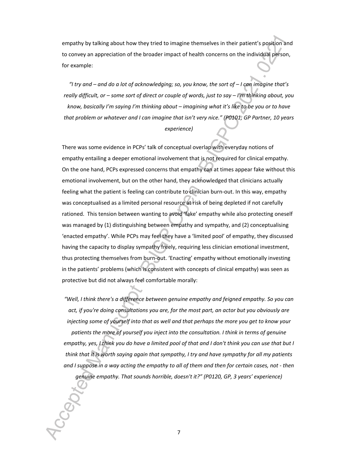empathy by talking about how they tried to imagine themselves in their patient's position and to convey an appreciation of the broader impact of health concerns on the individual person, for example:

*"I try and – and do a lot of acknowledging; so, you know, the sort of – I can imagine that's really difficult, or – some sort of direct or couple of words, just to say – I'm thinking about, you know, basically I'm saying I'm thinking about – imagining what it's like to be you or to have that problem or whatever and I can imagine that isn't very nice." (P0101, GP Partner, 10 years experience)*

There was some evidence in PCPs' talk of conceptual overlap with everyday notions of empathy entailing a deeper emotional involvement that is not required for clinical empathy. On the one hand, PCPs expressed concerns that empathy can at times appear fake without this emotional involvement, but on the other hand, they acknowledged that clinicians actually feeling what the patient is feeling can contribute to clinician burn-out. In this way, empathy was conceptualised as a limited personal resource at risk of being depleted if not carefully rationed. This tension between wanting to avoid 'fake' empathy while also protecting oneself was managed by (1) distinguishing between empathy and sympathy, and (2) conceptualising 'enacted empathy'. While PCPs may feel they have a 'limited pool' of empathy, they discussed having the capacity to display sympathy freely, requiring less clinician emotional investment, thus protecting themselves from burn-out. 'Enacting' empathy without emotionally investing in the patients' problems (which is consistent with concepts of clinical empathy) was seen as protective but did not always feel comfortable morally:

*"Well, I think there's a difference between genuine empathy and feigned empathy. So you can act, if you're doing consultations you are, for the most part, an actor but you obviously are injecting some of yourself into that as well and that perhaps the more you get to know your patients the more of yourself you inject into the consultation. I think in terms of genuine empathy, yes, I think you do have a limited pool of that and I don't think you can use that but I think that it is worth saying again that sympathy, I try and have sympathy for all my patients and I suppose in a way acting the empathy to all of them and then for certain cases, not - then genuine empathy. That sounds horrible, doesn't it?" (P0120, GP, 3 years' experience)*

7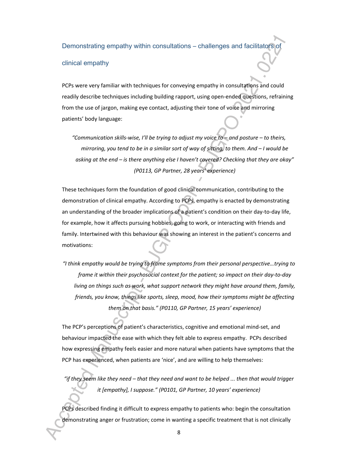Demonstrating empathy within consultations – challenges and facilitators of

#### clinical empathy

PCPs were very familiar with techniques for conveying empathy in consultations and could readily describe techniques including building rapport, using open-ended questions, refraining from the use of jargon, making eye contact, adjusting their tone of voice and mirroring patients' body language:

*"Communication skills-wise, I'll be trying to adjust my voice to – and posture – to theirs, mirroring, you tend to be in a similar sort of way of sitting, to them. And – I would be asking at the end – is there anything else I haven't covered? Checking that they are okay" (P0113, GP Partner, 28 years' experience)*

These techniques form the foundation of good clinical communication, contributing to the demonstration of clinical empathy. According to PCPs, empathy is enacted by demonstrating an understanding of the broader implications of a patient's condition on their day-to-day life, for example, how it affects pursuing hobbies, going to work, or interacting with friends and family. Intertwined with this behaviour was showing an interest in the patient's concerns and motivations:

*"I think empathy would be trying to frame symptoms from their personal perspective…trying to frame it within their psychosocial context for the patient; so impact on their day-to-day living on things such as work, what support network they might have around them, family, friends, you know, things like sports, sleep, mood, how their symptoms might be affecting them on that basis." (P0110, GP Partner, 15 years' experience)*

The PCP's perceptions of patient's characteristics, cognitive and emotional mind-set, and behaviour impacted the ease with which they felt able to express empathy. PCPs described how expressing empathy feels easier and more natural when patients have symptoms that the PCP has experienced, when patients are 'nice', and are willing to help themselves:

*"if they seem like they need – that they need and want to be helped ... then that would trigger it [empathy], I suppose." (P0101, GP Partner, 10 years' experience)*

PCPs described finding it difficult to express empathy to patients who: begin the consultation demonstrating anger or frustration; come in wanting a specific treatment that is not clinically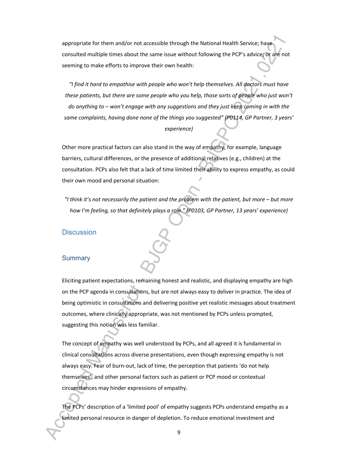appropriate for them and/or not accessible through the National Health Service; have consulted multiple times about the same issue without following the PCP's advice; or are not seeming to make efforts to improve their own health:

*"I find it hard to empathise with people who won't help themselves. All doctors must have these patients, but there are some people who you help, those sorts of people who just won't do anything to – won't engage with any suggestions and they just keep coming in with the same complaints, having done none of the things you suggested" (P0114, GP Partner, 3 years' experience)*

Other more practical factors can also stand in the way of empathy, for example, language barriers, cultural differences, or the presence of additional relatives (e.g., children) at the consultation. PCPs also felt that a lack of time limited their ability to express empathy, as could their own mood and personal situation:

*"I think it's not necessarily the patient and the problem with the patient, but more – but more how I'm feeling, so that definitely plays a role." (P0103, GP Partner, 13 years' experience)*

#### **Discussion**

#### **Summary**

Eliciting patient expectations, remaining honest and realistic, and displaying empathy are high on the PCP agenda in consultations, but are not always easy to deliver in practice. The idea of being optimistic in consultations and delivering positive yet realistic messages about treatment outcomes, where clinically appropriate, was not mentioned by PCPs unless prompted, suggesting this notion was less familiar.

The concept of empathy was well understood by PCPs, and all agreed it is fundamental in clinical consultations across diverse presentations, even though expressing empathy is not always easy. Fear of burn-out, lack of time, the perception that patients 'do not help themselves', and other personal factors such as patient or PCP mood or contextual circumstances may hinder expressions of empathy.

The PCPs' description of a 'limited pool' of empathy suggests PCPs understand empathy as a limited personal resource in danger of depletion. To reduce emotional investment and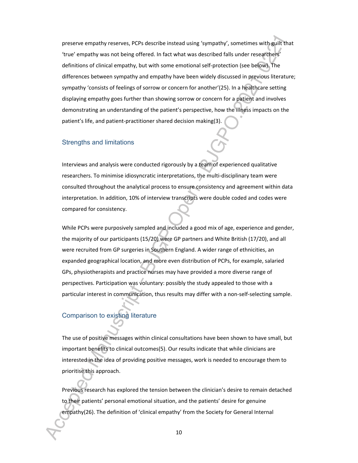preserve empathy reserves, PCPs describe instead using 'sympathy', sometimes with guilt that 'true' empathy was not being offered. In fact what was described falls under researchers' definitions of clinical empathy, but with some emotional self-protection (see below). The differences between sympathy and empathy have been widely discussed in previous literature; sympathy 'consists of feelings of sorrow or concern for another'(25). In a healthcare setting displaying empathy goes further than showing sorrow or concern for a patient and involves demonstrating an understanding of the patient's perspective, how the illness impacts on the patient's life, and patient-practitioner shared decision making(3).

#### Strengths and limitations

Interviews and analysis were conducted rigorously by a team of experienced qualitative researchers. To minimise idiosyncratic interpretations, the multi-disciplinary team were consulted throughout the analytical process to ensure consistency and agreement within data interpretation. In addition, 10% of interview transcripts were double coded and codes were compared for consistency.

While PCPs were purposively sampled and included a good mix of age, experience and gender, the majority of our participants (15/20) were GP partners and White British (17/20), and all were recruited from GP surgeries in Southern England. A wider range of ethnicities, an expanded geographical location, and more even distribution of PCPs, for example, salaried GPs, physiotherapists and practice nurses may have provided a more diverse range of perspectives. Participation was voluntary: possibly the study appealed to those with a particular interest in communication, thus results may differ with a non-self-selecting sample.

# Comparison to existing literature

The use of positive messages within clinical consultations have been shown to have small, but important benefits to clinical outcomes(5). Our results indicate that while clinicians are interested in the idea of providing positive messages, work is needed to encourage them to prioritise this approach.

Previous research has explored the tension between the clinician's desire to remain detached to their patients' personal emotional situation, and the patients' desire for genuine empathy(26). The definition of 'clinical empathy' from the Society for General Internal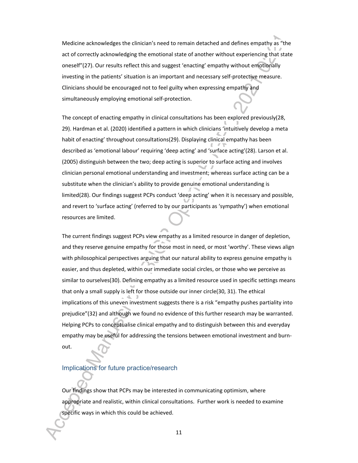Medicine acknowledges the clinician's need to remain detached and defines empathy as "the act of correctly acknowledging the emotional state of another without experiencing that state oneself"(27). Our results reflect this and suggest 'enacting' empathy without emotionally investing in the patients' situation is an important and necessary self-protective measure. Clinicians should be encouraged not to feel guilty when expressing empathy and simultaneously employing emotional self-protection.

The concept of enacting empathy in clinical consultations has been explored previously(28, 29). Hardman et al. (2020) identified a pattern in which clinicians 'intuitively develop a meta habit of enacting' throughout consultations(29). Displaying clinical empathy has been described as 'emotional labour' requiring 'deep acting' and 'surface acting'(28). Larson et al. (2005) distinguish between the two; deep acting is superior to surface acting and involves clinician personal emotional understanding and investment; whereas surface acting can be a substitute when the clinician's ability to provide genuine emotional understanding is limited(28). Our findings suggest PCPs conduct 'deep acting' when it is necessary and possible, and revert to 'surface acting' (referred to by our participants as 'sympathy') when emotional resources are limited.

The current findings suggest PCPs view empathy as a limited resource in danger of depletion, and they reserve genuine empathy for those most in need, or most 'worthy'. These views align with philosophical perspectives arguing that our natural ability to express genuine empathy is easier, and thus depleted, within our immediate social circles, or those who we perceive as similar to ourselves(30). Defining empathy as a limited resource used in specific settings means that only a small supply is left for those outside our inner circle(30, 31). The ethical implications of this uneven investment suggests there is a risk "empathy pushes partiality into prejudice"(32) and although we found no evidence of this further research may be warranted. Helping PCPs to conceptualise clinical empathy and to distinguish between this and everyday empathy may be useful for addressing the tensions between emotional investment and burnout.

#### Implications for future practice/research

Our findings show that PCPs may be interested in communicating optimism, where appropriate and realistic, within clinical consultations. Further work is needed to examine specific ways in which this could be achieved.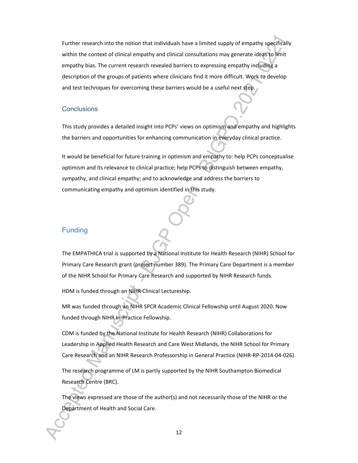Further research into the notion that individuals have a limited supply of empathy specifically within the context of clinical empathy and clinical consultations may generate ideas to limit empathy bias. The current research revealed barriers to expressing empathy including a description of the groups of patients where clinicians find it more difficult. Work to develop and test techniques for overcoming these barriers would be a useful next step.

#### **Conclusions**

This study provides a detailed insight into PCPs' views on optimism and empathy and highlights the barriers and opportunities for enhancing communication in everyday clinical practice.

It would be beneficial for future training in optimism and empathy to: help PCPs conceptualise optimism and its relevance to clinical practice; help PCPs to distinguish between empathy, sympathy, and clinical empathy; and to acknowledge and address the barriers to communicating empathy and optimism identified in this study.

# Funding

The EMPATHICA trial is supported by a National Institute for Health Research (NIHR) School for Primary Care Research grant (project number 389). The Primary Care Department is a member of the NIHR School for Primary Care Research and supported by NIHR Research funds.

HDM is funded through an NIHR Clinical Lectureship.

MR was funded through an NIHR SPCR Academic Clinical Fellowship until August 2020. Now funded through NIHR In-Practice Fellowship.

CDM is funded by the National Institute for Health Research (NIHR) Collaborations for Leadership in Applied Health Research and Care West Midlands, the NIHR School for Primary Care Research and an NIHR Research Professorship in General Practice (NIHR-RP-2014-04-026).

The research programme of LM is partly supported by the NIHR Southampton Biomedical Research Centre (BRC).

The views expressed are those of the author(s) and not necessarily those of the NIHR or the Department of Health and Social Care.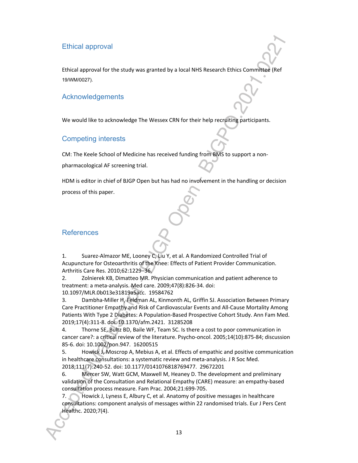# Ethical approval

Ethical approval for the study was granted by a local NHS Research Ethics Committee (Ref 19/WM/0027).

### Acknowledgements

We would like to acknowledge The Wessex CRN for their help recruiting participants.

#### Competing interests

CM: The Keele School of Medicine has received funding from BMS to support a non-

pharmacological AF screening trial.

HDM is editor in chief of BJGP Open but has had no involvement in the handling or decision process of this paper.

# **References**

1. Suarez-Almazor ME, Looney C, Liu Y, et al. A Randomized Controlled Trial of Acupuncture for Osteoarthritis of the Knee: Effects of Patient Provider Communication. Arthritis Care Res. 2010;62:1229–36.

2. Zolnierek KB, Dimatteo MR. Physician communication and patient adherence to treatment: a meta-analysis. Med care. 2009;47(8):826-34. doi: 10.1097/MLR.0b013e31819a5acc. 19584762

3. Dambha-Miller H, Feldman AL, Kinmonth AL, Griffin SJ. Association Between Primary Care Practitioner Empathy and Risk of Cardiovascular Events and All-Cause Mortality Among Patients With Type 2 Diabetes: A Population-Based Prospective Cohort Study. Ann Fam Med. 2019;17(4):311-8. doi: 10.1370/afm.2421. 31285208

4. Thorne SE, Bultz BD, Baile WF, Team SC. Is there a cost to poor communication in cancer care?: a critical review of the literature. Psycho-oncol. 2005;14(10):875-84; discussion 85-6. doi: 10.1002/pon.947. 16200515

5. Howick J, Moscrop A, Mebius A, et al. Effects of empathic and positive communication in healthcare consultations: a systematic review and meta-analysis. J R Soc Med. 2018;111(7):240-52. doi: 10.1177/0141076818769477. 29672201

6. Mercer SW, Watt GCM, Maxwell M, Heaney D. The development and preliminary validation of the Consultation and Relational Empathy (CARE) measure: an empathy-based consultation process measure. Fam Prac. 2004;21:699-705.

7. Howick J, Lyness E, Albury C, et al. Anatomy of positive messages in healthcare consultations: component analysis of messages within 22 randomised trials. Eur J Pers Cent Healthc. 2020;7(4).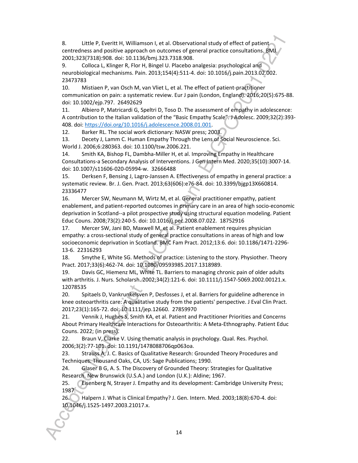8. Little P, Everitt H, Williamson I, et al. Observational study of effect of patient centredness and positive approach on outcomes of general practice consultations. BMJ. 2001;323(7318):908. doi: 10.1136/bmj.323.7318.908.

9. Colloca L, Klinger R, Flor H, Bingel U. Placebo analgesia: psychological and neurobiological mechanisms. Pain. 2013;154(4):511-4. doi: 10.1016/j.pain.2013.02.002. 23473783

10. Mistiaen P, van Osch M, van Vliet L, et al. The effect of patient-practitioner communication on pain: a systematic review. Eur J pain (London, England). 2016;20(5):675-88. doi: 10.1002/ejp.797. 26492629

11. Albiero P, Matricardi G, Speltri D, Toso D. The assessment of empathy in adolescence: A contribution to the Italian validation of the "Basic Empathy Scale". J Adolesc. 2009;32(2):393- 408. doi: https://doi.org/10.1016/j.adolescence.2008.01.001.

12. Barker RL. The social work dictionary: NASW press; 2003.

13. Decety J, Lamm C. Human Empathy Through the Lens of Social Neuroscience. Sci. World J. 2006;6:280363. doi: 10.1100/tsw.2006.221.

14. Smith KA, Bishop FL, Dambha-Miller H, et al. Improving Empathy in Healthcare Consultations-a Secondary Analysis of Interventions. J Gen Intern Med. 2020;35(10):3007-14. doi: 10.1007/s11606-020-05994-w. 32666488

15. Derksen F, Bensing J, Lagro-Janssen A. Effectiveness of empathy in general practice: a systematic review. Br. J. Gen. Pract. 2013;63(606):e76-84. doi: 10.3399/bjgp13X660814. 23336477

16. Mercer SW, Neumann M, Wirtz M, et al. General practitioner empathy, patient enablement, and patient-reported outcomes in primary care in an area of high socio-economic deprivation in Scotland--a pilot prospective study using structural equation modeling. Patient Educ Couns. 2008;73(2):240-5. doi: 10.1016/j.pec.2008.07.022. 18752916

17. Mercer SW, Jani BD, Maxwell M, et al. Patient enablement requires physician empathy: a cross-sectional study of general practice consultations in areas of high and low socioeconomic deprivation in Scotland. BMC Fam Pract. 2012;13:6. doi: 10.1186/1471-2296- 13-6. 22316293

18. Smythe E, White SG. Methods of practice: Listening to the story. Physiother. Theory Pract. 2017;33(6):462-74. doi: 10.1080/09593985.2017.1318989.

19. Davis GC, Hiemenz ML, White TL. Barriers to managing chronic pain of older adults with arthritis. J. Nurs. Scholarsh. 2002;34(2):121-6. doi: 10.1111/j.1547-5069.2002.00121.x. 12078535

20. Spitaels D, Vankrunkelsven P, Desfosses J, et al. Barriers for guideline adherence in knee osteoarthritis care: A qualitative study from the patients' perspective. J Eval Clin Pract. 2017;23(1):165-72. doi: 10.1111/jep.12660. 27859970

21. Vennik J, Hughes S, Smith KA, et al. Patient and Practitioner Priorities and Concerns About Primary Healthcare Interactions for Osteoarthritis: A Meta-Ethnography. Patient Educ Couns. 2022; (in press).

22. Braun V, Clarke V. Using thematic analysis in psychology. Qual. Res. Psychol. 2006;3(2):77-101. doi: 10.1191/1478088706qp063oa.

23. Strauss A, J. C. Basics of Qualitative Research: Grounded Theory Procedures and Techniques. Thousand Oaks, CA, US: Sage Publications; 1990.

24. Glaser B G, A. S. The Discovery of Grounded Theory: Strategies for Qualitative Research. New Brunswick (U.S.A.) and London (U.K.): Aldine; 1967.

25. Eisenberg N, Strayer J. Empathy and its development: Cambridge University Press; 1987.

26. Halpern J. What is Clinical Empathy? J. Gen. Intern. Med. 2003;18(8):670-4. doi: 10.1046/j.1525-1497.2003.21017.x.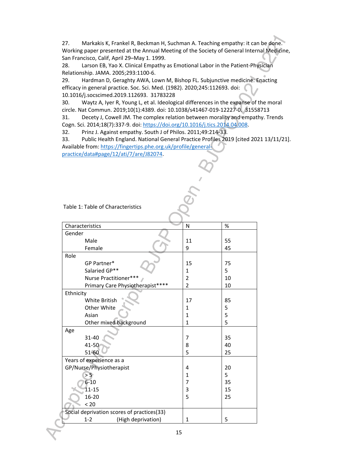27. Markakis K, Frankel R, Beckman H, Suchman A. Teaching empathy: it can be done. Working paper presented at the Annual Meeting of the Society of General Internal Medicine, San Francisco, Calif, April 29–May 1. 1999.

28. Larson EB, Yao X. Clinical Empathy as Emotional Labor in the Patient-Physician Relationship. JAMA. 2005;293:1100-6.

29. Hardman D, Geraghty AWA, Lown M, Bishop FL. Subjunctive medicine: Enacting efficacy in general practice. Soc. Sci. Med. (1982). 2020;245:112693. doi: 10.1016/j.socscimed.2019.112693. 31783228

30. Waytz A, Iyer R, Young L, et al. Ideological differences in the expanse of the moral circle. Nat Commun. 2019;10(1):4389. doi: 10.1038/s41467-019-12227-0. 31558713

31. Decety J, Cowell JM. The complex relation between morality and empathy. Trends Cogn. Sci. 2014;18(7):337-9. doi: https://doi.org/10.1016/j.tics.2014.04.008.

32. Prinz J. Against empathy. South J of Philos. 2011;49:214-33.

33. Public Health England. National General Practice Profiles 2019 [cited 2021 13/11/21]. Available from: https://fingertips.phe.org.uk/profile/generalpractice/data#page/12/ati/7/are/J82074.

#### Table 1: Table of Characteristics

| Characteristics                            | N              | %  |  |  |  |
|--------------------------------------------|----------------|----|--|--|--|
| Gender                                     |                |    |  |  |  |
| Male                                       | 11             | 55 |  |  |  |
| Female                                     | 9              | 45 |  |  |  |
| Role                                       |                |    |  |  |  |
| GP Partner*                                | 15             | 75 |  |  |  |
| Salaried GP**                              | 1              | 5  |  |  |  |
| Nurse Practitioner***                      | $\overline{2}$ | 10 |  |  |  |
| Primary Care Physiotherapist****           | $\overline{2}$ | 10 |  |  |  |
| Ethnicity                                  |                |    |  |  |  |
| <b>White British</b>                       | 17             | 85 |  |  |  |
| Other White                                | 1              | 5  |  |  |  |
| Asian                                      | 1              | 5  |  |  |  |
| Other mixed background                     | 1              | 5  |  |  |  |
| Age                                        |                |    |  |  |  |
| 31-40                                      | 7              | 35 |  |  |  |
| 41-50                                      | 8              | 40 |  |  |  |
| 51-60                                      | 5              | 25 |  |  |  |
| Years of experience as a                   |                |    |  |  |  |
| GP/Nurse/Physiotherapist                   | 4              | 20 |  |  |  |
| > 5                                        | $\mathbf{1}$   | 5  |  |  |  |
| $6 - 10$                                   | 7              | 35 |  |  |  |
| $11 - 15$                                  | 3              | 15 |  |  |  |
| 16-20                                      | 5              | 25 |  |  |  |
| < 20                                       |                |    |  |  |  |
| Social deprivation scores of practices(33) |                |    |  |  |  |
| (High deprivation)<br>$1 - 2$              | 1              | 5  |  |  |  |